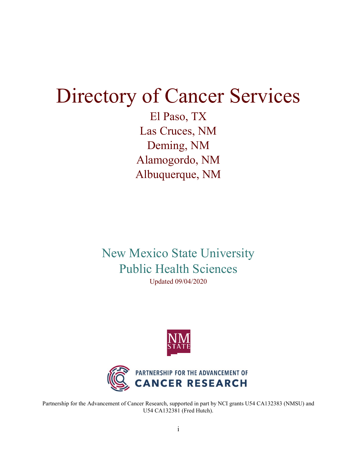# Directory of Cancer Services

El Paso, TX Las Cruces, NM Deming, NM Alamogordo, NM Albuquerque, NM

New Mexico State University Public Health Sciences Updated 09/04/2020





Partnership for the Advancement of Cancer Research, supported in part by NCI grants U54 CA132383 (NMSU) and U54 CA132381 (Fred Hutch).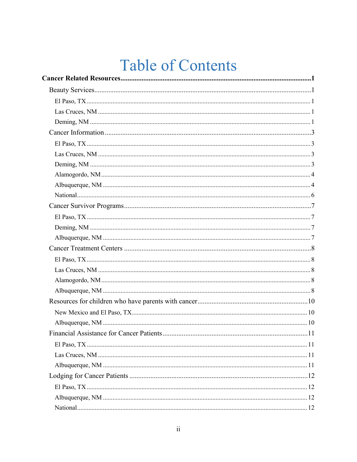# **Table of Contents**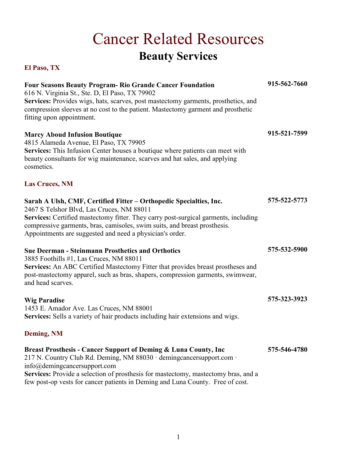# Cancer Related Resources **Beauty Services**

<span id="page-4-4"></span><span id="page-4-3"></span><span id="page-4-2"></span><span id="page-4-1"></span><span id="page-4-0"></span>

| <b>Four Seasons Beauty Program- Rio Grande Cancer Foundation</b><br>616 N. Virginia St., Ste. D, El Paso, TX 79902<br>Services: Provides wigs, hats, scarves, post mastectomy garments, prosthetics, and<br>compression sleeves at no cost to the patient. Mastectomy garment and prosthetic<br>fitting upon appointment.                          | 915-562-7660 |
|----------------------------------------------------------------------------------------------------------------------------------------------------------------------------------------------------------------------------------------------------------------------------------------------------------------------------------------------------|--------------|
| <b>Marcy Aboud Infusion Boutique</b><br>4815 Alameda Avenue, El Paso, TX 79905<br>Services: This Infusion Center houses a boutique where patients can meet with<br>beauty consultants for wig maintenance, scarves and hat sales, and applying<br>cosmetics.                                                                                       | 915-521-7599 |
| <b>Las Cruces, NM</b>                                                                                                                                                                                                                                                                                                                              |              |
| Sarah A Ulsh, CMF, Certified Fitter - Orthopedic Specialties, Inc.<br>2467 S Telshor Blvd, Las Cruces, NM 88011<br>Services: Certified mastectomy fitter. They carry post-surgical garments, including<br>compressive garments, bras, camisoles, swim suits, and breast prosthesis.<br>Appointments are suggested and need a physician's order.    | 575-522-5773 |
| <b>Sue Deerman - Steinmann Prosthetics and Orthotics</b><br>3885 Foothills #1, Las Cruces, NM 88011<br>Services: An ABC Certified Mastectomy Fitter that provides breast prostheses and<br>post-mastectomy apparel, such as bras, shapers, compression garments, swimwear,<br>and head scarves.                                                    | 575-532-5900 |
| <b>Wig Paradise</b><br>1453 E. Amador Ave. Las Cruces, NM 88001<br>Services: Sells a variety of hair products including hair extensions and wigs.                                                                                                                                                                                                  | 575-323-3923 |
| <b>Deming, NM</b>                                                                                                                                                                                                                                                                                                                                  |              |
| Breast Prosthesis - Cancer Support of Deming & Luna County, Inc<br>217 N. Country Club Rd. Deming, NM 88030 · demingcancersupport.com ·<br>$info@$ demingcancersupport.com<br>Services: Provide a selection of prosthesis for mastectomy, mastectomy bras, and a<br>few post-op vests for cancer patients in Deming and Luna County. Free of cost. | 575-546-4780 |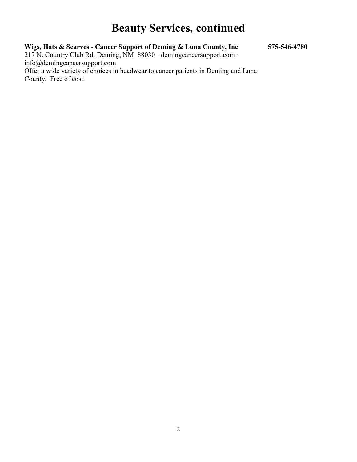### **Beauty Services, continued**

**Wigs, Hats & Scarves - Cancer Support of Deming & Luna County, Inc 575-546-4780**

217 N. Country Club Rd. Deming, NM 88030 · demingcancersupport.com · info@demingcancersupport.com Offer a wide variety of choices in headwear to cancer patients in Deming and Luna County. Free of cost.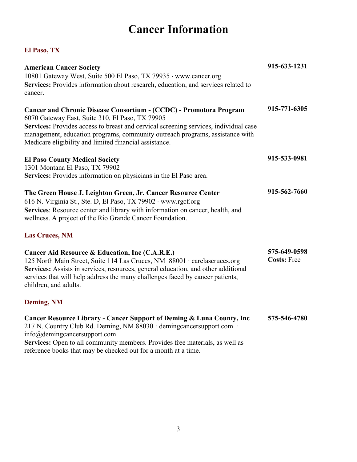### **Cancer Information**

#### <span id="page-6-1"></span><span id="page-6-0"></span>**El Paso, TX**

| <b>American Cancer Society</b><br>10801 Gateway West, Suite 500 El Paso, TX 79935 · www.cancer.org<br>Services: Provides information about research, education, and services related to<br>cancer.                                                                                                                                                                                                                                                                                          | 915-633-1231                       |
|---------------------------------------------------------------------------------------------------------------------------------------------------------------------------------------------------------------------------------------------------------------------------------------------------------------------------------------------------------------------------------------------------------------------------------------------------------------------------------------------|------------------------------------|
| Cancer and Chronic Disease Consortium - (CCDC) - Promotora Program<br>6070 Gateway East, Suite 310, El Paso, TX 79905<br>Services: Provides access to breast and cervical screening services, individual case<br>management, education programs, community outreach programs, assistance with<br>Medicare eligibility and limited financial assistance.                                                                                                                                     | 915-771-6305                       |
| <b>El Paso County Medical Society</b><br>1301 Montana El Paso, TX 79902<br>Services: Provides information on physicians in the El Paso area.                                                                                                                                                                                                                                                                                                                                                | 915-533-0981                       |
| The Green House J. Leighton Green, Jr. Cancer Resource Center<br>616 N. Virginia St., Ste. D, El Paso, TX 79902 · www.rgcf.org<br>Services: Resource center and library with information on cancer, health, and<br>wellness. A project of the Rio Grande Cancer Foundation.                                                                                                                                                                                                                 | 915-562-7660                       |
| <b>Las Cruces, NM</b>                                                                                                                                                                                                                                                                                                                                                                                                                                                                       |                                    |
| Cancer Aid Resource & Education, Inc (C.A.R.E.)<br>125 North Main Street, Suite 114 Las Cruces, NM 88001 · carelascruces.org<br>Services: Assists in services, resources, general education, and other additional<br>services that will help address the many challenges faced by cancer patients,<br>children, and adults.                                                                                                                                                                 | 575-649-0598<br><b>Costs: Free</b> |
| <b>Deming, NM</b>                                                                                                                                                                                                                                                                                                                                                                                                                                                                           |                                    |
| Cancer Resource Library - Cancer Support of Deming & Luna County, Inc<br>217 N. Country Club Rd. Deming, NM 88030 · demingcancersupport.com ·<br>$info(\omega)$ demingcancersupport.com<br>$\mathbf{A}$ and $\mathbf{B}$ and $\mathbf{A}$ and $\mathbf{A}$ and $\mathbf{A}$ and $\mathbf{A}$ and $\mathbf{A}$ and $\mathbf{A}$ and $\mathbf{A}$ and $\mathbf{A}$ and $\mathbf{A}$ and $\mathbf{A}$ and $\mathbf{A}$ and $\mathbf{A}$ and $\mathbf{A}$ and $\mathbf{A}$ and $\mathbf{A}$ and | 575-546-4780                       |

<span id="page-6-3"></span><span id="page-6-2"></span>**Services:** Open to all community members. Provides free materials, as well as reference books that may be checked out for a month at a time.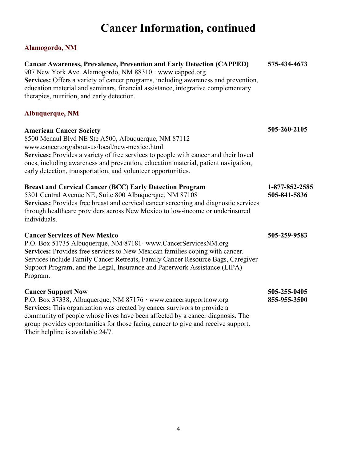# **Cancer Information, continued**

### <span id="page-7-0"></span>**Alamogordo, NM**

<span id="page-7-1"></span>

| <b>Cancer Awareness, Prevalence, Prevention and Early Detection (CAPPED)</b><br>907 New York Ave. Alamogordo, NM 88310 · www.capped.org<br>Services: Offers a variety of cancer programs, including awareness and prevention,<br>education material and seminars, financial assistance, integrative complementary<br>therapies, nutrition, and early detection.                      | 575-434-4673                   |
|--------------------------------------------------------------------------------------------------------------------------------------------------------------------------------------------------------------------------------------------------------------------------------------------------------------------------------------------------------------------------------------|--------------------------------|
| Albuquerque, NM                                                                                                                                                                                                                                                                                                                                                                      |                                |
| <b>American Cancer Society</b><br>8500 Menaul Blvd NE Ste A500, Albuquerque, NM 87112<br>www.cancer.org/about-us/local/new-mexico.html<br>Services: Provides a variety of free services to people with cancer and their loved<br>ones, including awareness and prevention, education material, patient navigation,<br>early detection, transportation, and volunteer opportunities.  | 505-260-2105                   |
| <b>Breast and Cervical Cancer (BCC) Early Detection Program</b><br>5301 Central Avenue NE, Suite 800 Albuquerque, NM 87108<br>Services: Provides free breast and cervical cancer screening and diagnostic services<br>through healthcare providers across New Mexico to low-income or underinsured<br>individuals.                                                                   | 1-877-852-2585<br>505-841-5836 |
| <b>Cancer Services of New Mexico</b><br>P.O. Box 51735 Albuquerque, NM 87181 · www.CancerServicesNM.org<br>Services: Provides free services to New Mexican families coping with cancer.<br>Services include Family Cancer Retreats, Family Cancer Resource Bags, Caregiver<br>Support Program, and the Legal, Insurance and Paperwork Assistance (LIPA)<br>Program.                  | 505-259-9583                   |
| <b>Cancer Support Now</b><br>P.O. Box 37338, Albuquerque, NM 87176 · www.cancersupportnow.org<br>Services: This organization was created by cancer survivors to provide a<br>community of people whose lives have been affected by a cancer diagnosis. The<br>group provides opportunities for those facing cancer to give and receive support.<br>Their helpline is available 24/7. | 505-255-0405<br>855-955-3500   |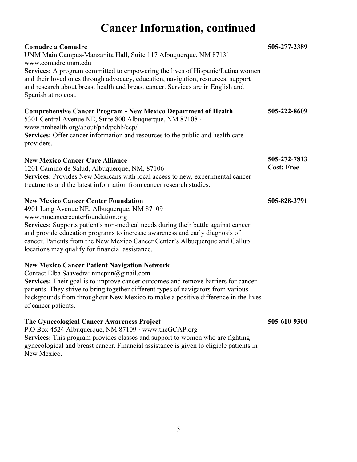### **Cancer Information, continued**

| <b>Comadre a Comadre</b><br>UNM Main Campus-Manzanita Hall, Suite 117 Albuquerque, NM 87131 ·<br>www.comadre.unm.edu<br>Services: A program committed to empowering the lives of Hispanic/Latina women<br>and their loved ones through advocacy, education, navigation, resources, support<br>and research about breast health and breast cancer. Services are in English and<br>Spanish at no cost.                                 | 505-277-2389                      |
|--------------------------------------------------------------------------------------------------------------------------------------------------------------------------------------------------------------------------------------------------------------------------------------------------------------------------------------------------------------------------------------------------------------------------------------|-----------------------------------|
| <b>Comprehensive Cancer Program - New Mexico Department of Health</b><br>5301 Central Avenue NE, Suite 800 Albuquerque, NM 87108 ·<br>www.nmhealth.org/about/phd/pchb/ccp/<br>Services: Offer cancer information and resources to the public and health care<br>providers.                                                                                                                                                           | 505-222-8609                      |
| <b>New Mexico Cancer Care Alliance</b><br>1201 Camino de Salud, Albuquerque, NM, 87106<br>Services: Provides New Mexicans with local access to new, experimental cancer<br>treatments and the latest information from cancer research studies.                                                                                                                                                                                       | 505-272-7813<br><b>Cost: Free</b> |
| <b>New Mexico Cancer Center Foundation</b><br>4901 Lang Avenue NE, Albuquerque, NM 87109 ·<br>www.nmcancercenterfoundation.org<br>Services: Supports patient's non-medical needs during their battle against cancer<br>and provide education programs to increase awareness and early diagnosis of<br>cancer. Patients from the New Mexico Cancer Center's Albuquerque and Gallup<br>locations may qualify for financial assistance. | 505-828-3791                      |
| <b>New Mexico Cancer Patient Navigation Network</b><br>Contact Elba Saavedra: nmcpnn@gmail.com<br>Services: Their goal is to improve cancer outcomes and remove barriers for cancer<br>patients. They strive to bring together different types of navigators from various<br>backgrounds from throughout New Mexico to make a positive difference in the lives<br>of cancer patients.                                                |                                   |
| The Gynecological Cancer Awareness Project                                                                                                                                                                                                                                                                                                                                                                                           | 505-610-9300                      |

P.O Box 4524 Albuquerque, NM 87109 · www.theGCAP.org Services: This program provides classes and support to women who are fighting gynecological and breast cancer. Financial assistance is given to eligible patients in New Mexico.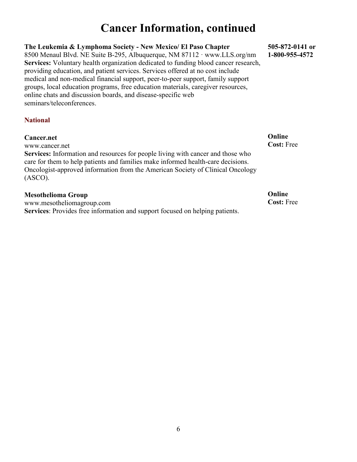### **Cancer Information, continued**

#### **The Leukemia & Lymphoma Society - New Mexico/ El Paso Chapter**

8500 Menaul Blvd. NE Suite B-295, Albuquerque, NM 87112 · www.LLS.org/nm **Services:** Voluntary health organization dedicated to funding blood cancer research, providing education, and patient services. Services offered at no cost include medical and non-medical financial support, peer-to-peer support, family support groups, local education programs, free education materials, caregiver resources, online chats and discussion boards, and disease-specific web seminars/teleconferences.

#### <span id="page-9-0"></span>**National**

#### **Cancer.net**

www.cancer.net

**Services:** Information and resources for people living with cancer and those who care for them to help patients and families make informed health-care decisions. Oncologist-approved information from the American Society of Clinical Oncology (ASCO).

#### **Mesothelioma Group**

www.mesotheliomagroup.com **Services**: Provides free information and support focused on helping patients. **505-872-0141 or 1-800-955-4572**

**Online Cost:** Free

**Online Cost:** Free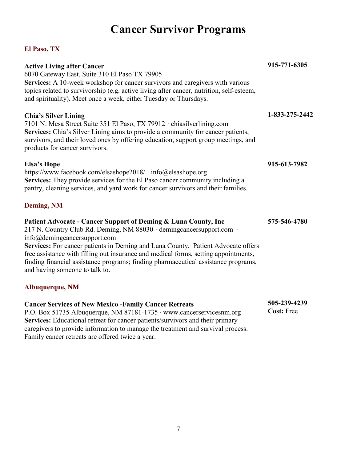# **Cancer Survivor Programs**

#### <span id="page-10-1"></span><span id="page-10-0"></span>**El Paso, TX**

| <b>Active Living after Cancer</b><br>6070 Gateway East, Suite 310 El Paso TX 79905<br>Services: A 10-week workshop for cancer survivors and caregivers with various<br>topics related to survivorship (e.g. active living after cancer, nutrition, self-esteem,<br>and spirituality). Meet once a week, either Tuesday or Thursdays.                                                                                                                                                | 915-771-6305                      |
|-------------------------------------------------------------------------------------------------------------------------------------------------------------------------------------------------------------------------------------------------------------------------------------------------------------------------------------------------------------------------------------------------------------------------------------------------------------------------------------|-----------------------------------|
| <b>Chia's Silver Lining</b><br>7101 N. Mesa Street Suite 351 El Paso, TX 79912 · chiasilverlining.com<br>Services: Chia's Silver Lining aims to provide a community for cancer patients,<br>survivors, and their loved ones by offering education, support group meetings, and<br>products for cancer survivors.                                                                                                                                                                    | 1-833-275-2442                    |
| <b>Elsa's Hope</b><br>https://www.facebook.com/elsashope2018/ · info@elsashope.org<br>Services: They provide services for the El Paso cancer community including a<br>pantry, cleaning services, and yard work for cancer survivors and their families.                                                                                                                                                                                                                             | 915-613-7982                      |
| <b>Deming, NM</b>                                                                                                                                                                                                                                                                                                                                                                                                                                                                   |                                   |
| Patient Advocate - Cancer Support of Deming & Luna County, Inc<br>217 N. Country Club Rd. Deming, NM 88030 · demingcancersupport.com ·<br>$info(\omega)$ demingcancersupport.com<br>Services: For cancer patients in Deming and Luna County. Patient Advocate offers<br>free assistance with filling out insurance and medical forms, setting appointments,<br>finding financial assistance programs; finding pharmaceutical assistance programs,<br>and having someone to talk to. | 575-546-4780                      |
| Albuquerque, NM                                                                                                                                                                                                                                                                                                                                                                                                                                                                     |                                   |
| <b>Cancer Services of New Mexico - Family Cancer Retreats</b><br>P.O. Box 51735 Albuquerque, NM 87181-1735 · www.cancerservicesnm.org<br>Services: Educational retreat for cancer patients/survivors and their primary<br>caregivers to provide information to manage the treatment and survival process.                                                                                                                                                                           | 505-239-4239<br><b>Cost: Free</b> |

<span id="page-10-3"></span><span id="page-10-2"></span>Family cancer retreats are offered twice a year.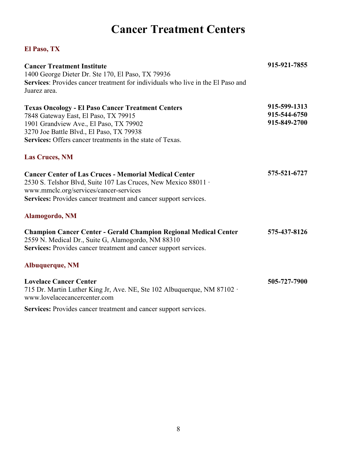### **Cancer Treatment Centers**

<span id="page-11-4"></span><span id="page-11-3"></span><span id="page-11-2"></span><span id="page-11-1"></span><span id="page-11-0"></span>

| <b>Cancer Treatment Institute</b>                                                                                                                                                                 | 915-921-7855 |
|---------------------------------------------------------------------------------------------------------------------------------------------------------------------------------------------------|--------------|
| 1400 George Dieter Dr. Ste 170, El Paso, TX 79936                                                                                                                                                 |              |
| Services: Provides cancer treatment for individuals who live in the El Paso and                                                                                                                   |              |
| Juarez area.                                                                                                                                                                                      |              |
| <b>Texas Oncology - El Paso Cancer Treatment Centers</b>                                                                                                                                          | 915-599-1313 |
| 7848 Gateway East, El Paso, TX 79915                                                                                                                                                              | 915-544-6750 |
| 1901 Grandview Ave., El Paso, TX 79902                                                                                                                                                            | 915-849-2700 |
| 3270 Joe Battle Blvd., El Paso, TX 79938                                                                                                                                                          |              |
| Services: Offers cancer treatments in the state of Texas.                                                                                                                                         |              |
| <b>Las Cruces, NM</b>                                                                                                                                                                             |              |
| <b>Cancer Center of Las Cruces - Memorial Medical Center</b>                                                                                                                                      | 575-521-6727 |
| 2530 S. Telshor Blvd, Suite 107 Las Cruces, New Mexico 88011 ·                                                                                                                                    |              |
| www.mmclc.org/services/cancer-services                                                                                                                                                            |              |
| Services: Provides cancer treatment and cancer support services.                                                                                                                                  |              |
| Alamogordo, NM                                                                                                                                                                                    |              |
| <b>Champion Cancer Center - Gerald Champion Regional Medical Center</b><br>2559 N. Medical Dr., Suite G, Alamogordo, NM 88310<br>Services: Provides cancer treatment and cancer support services. | 575-437-8126 |
| Albuquerque, NM                                                                                                                                                                                   |              |
| <b>Lovelace Cancer Center</b><br>715 Dr. Martin Luther King Jr, Ave. NE, Ste 102 Albuquerque, NM 87102 ·<br>www.lovelacecancercenter.com                                                          | 505-727-7900 |
| Services: Provides cancer treatment and cancer support services.                                                                                                                                  |              |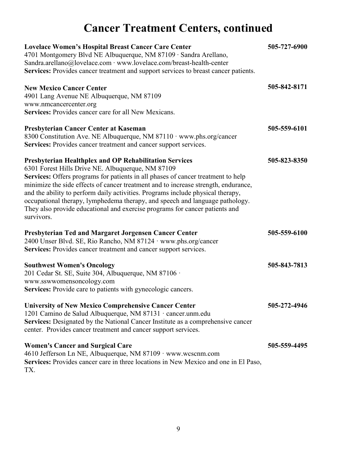# **Cancer Treatment Centers, continued**

| <b>Lovelace Women's Hospital Breast Cancer Care Center</b><br>4701 Montgomery Blvd NE Albuquerque, NM 87109 · Sandra Arellano,<br>Sandra.arellano@lovelace.com · www.lovelace.com/breast-health-center<br>Services: Provides cancer treatment and support services to breast cancer patients.                                                                                                                                                                                                                                                         | 505-727-6900 |
|-------------------------------------------------------------------------------------------------------------------------------------------------------------------------------------------------------------------------------------------------------------------------------------------------------------------------------------------------------------------------------------------------------------------------------------------------------------------------------------------------------------------------------------------------------|--------------|
| <b>New Mexico Cancer Center</b><br>4901 Lang Avenue NE Albuquerque, NM 87109<br>www.nmcancercenter.org<br>Services: Provides cancer care for all New Mexicans.                                                                                                                                                                                                                                                                                                                                                                                        | 505-842-8171 |
| Presbyterian Cancer Center at Kaseman<br>8300 Constitution Ave. NE Albuquerque, NM 87110 · www.phs.org/cancer<br>Services: Provides cancer treatment and cancer support services.                                                                                                                                                                                                                                                                                                                                                                     | 505-559-6101 |
| Presbyterian Healthplex and OP Rehabilitation Services<br>6301 Forest Hills Drive NE. Albuquerque, NM 87109<br>Services: Offers programs for patients in all phases of cancer treatment to help<br>minimize the side effects of cancer treatment and to increase strength, endurance,<br>and the ability to perform daily activities. Programs include physical therapy,<br>occupational therapy, lymphedema therapy, and speech and language pathology.<br>They also provide educational and exercise programs for cancer patients and<br>survivors. | 505-823-8350 |
| <b>Presbyterian Ted and Margaret Jorgensen Cancer Center</b><br>2400 Unser Blvd. SE, Rio Rancho, NM 87124 · www.phs.org/cancer<br>Services: Provides cancer treatment and cancer support services.                                                                                                                                                                                                                                                                                                                                                    | 505-559-6100 |
| <b>Southwest Women's Oncology</b><br>201 Cedar St. SE, Suite 304, Albuquerque, NM 87106 ·<br>www.sswwomensoncology.com<br>Services: Provide care to patients with gynecologic cancers.                                                                                                                                                                                                                                                                                                                                                                | 505-843-7813 |
| <b>University of New Mexico Comprehensive Cancer Center</b><br>1201 Camino de Salud Albuquerque, NM 87131 · cancer.unm.edu<br>Services: Designated by the National Cancer Institute as a comprehensive cancer<br>center. Provides cancer treatment and cancer support services.                                                                                                                                                                                                                                                                       | 505-272-4946 |
| <b>Women's Cancer and Surgical Care</b><br>4610 Jefferson Ln NE, Albuquerque, NM 87109 · www.wcscnm.com<br>Services: Provides cancer care in three locations in New Mexico and one in El Paso,<br>TX.                                                                                                                                                                                                                                                                                                                                                 | 505-559-4495 |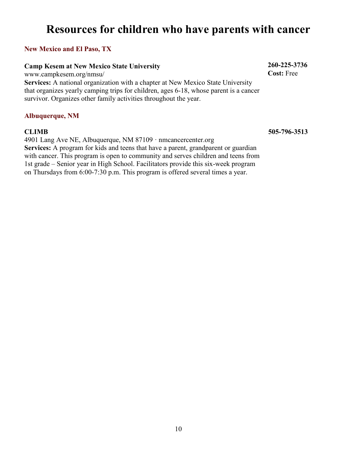### <span id="page-13-0"></span>**Resources for children who have parents with cancer**

#### <span id="page-13-1"></span>**New Mexico and El Paso, TX**

#### **Camp Kesem at New Mexico State University**

www.campkesem.org/nmsu/ **Services:** A national organization with a chapter at New Mexico State University that organizes yearly camping trips for children, ages 6-18, whose parent is a cancer survivor. Organizes other family activities throughout the year.

#### <span id="page-13-2"></span>**Albuquerque, NM**

#### **CLIMB**

4901 Lang Ave NE, Albuquerque, NM 87109 · nmcancercenter.org **Services:** A program for kids and teens that have a parent, grandparent or guardian with cancer. This program is open to community and serves children and teens from 1st grade – Senior year in High School. Facilitators provide this six-week program on Thursdays from 6:00-7:30 p.m. This program is offered several times a year.

**260-225-3736 Cost:** Free

**505-796-3513**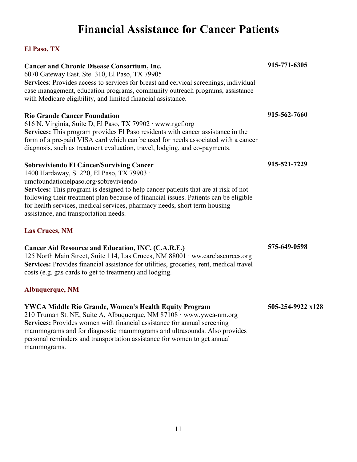## **Financial Assistance for Cancer Patients**

<span id="page-14-3"></span><span id="page-14-2"></span><span id="page-14-1"></span><span id="page-14-0"></span>

| <b>Cancer and Chronic Disease Consortium, Inc.</b><br>6070 Gateway East. Ste. 310, El Paso, TX 79905<br>Services: Provides access to services for breast and cervical screenings, individual<br>case management, education programs, community outreach programs, assistance<br>with Medicare eligibility, and limited financial assistance.                                                                                        | 915-771-6305      |
|-------------------------------------------------------------------------------------------------------------------------------------------------------------------------------------------------------------------------------------------------------------------------------------------------------------------------------------------------------------------------------------------------------------------------------------|-------------------|
| <b>Rio Grande Cancer Foundation</b><br>616 N. Virginia, Suite D, El Paso, TX 79902 · www.rgcf.org<br>Services: This program provides El Paso residents with cancer assistance in the<br>form of a pre-paid VISA card which can be used for needs associated with a cancer<br>diagnosis, such as treatment evaluation, travel, lodging, and co-payments.                                                                             | 915-562-7660      |
| Sobreviviendo El Cáncer/Surviving Cancer<br>1400 Hardaway, S. 220, El Paso, TX 79903 ·<br>umcfoundationelpaso.org/sobreviviendo<br>Services: This program is designed to help cancer patients that are at risk of not<br>following their treatment plan because of financial issues. Patients can be eligible<br>for health services, medical services, pharmacy needs, short term housing<br>assistance, and transportation needs. | 915-521-7229      |
| <b>Las Cruces, NM</b><br>Cancer Aid Resource and Education, INC. (C.A.R.E.)<br>125 North Main Street, Suite 114, Las Cruces, NM 88001 · ww.carelascurces.org<br>Services: Provides financial assistance for utilities, groceries, rent, medical travel<br>costs (e.g. gas cards to get to treatment) and lodging.                                                                                                                   | 575-649-0598      |
| <b>Albuquerque, NM</b>                                                                                                                                                                                                                                                                                                                                                                                                              |                   |
| <b>YWCA Middle Rio Grande, Women's Health Equity Program</b><br>210 Truman St. NE, Suite A, Albuquerque, NM 87108 · www.ywca-nm.org<br>Services: Provides women with financial assistance for annual screening<br>mammograms and for diagnostic mammograms and ultrasounds. Also provides<br>personal reminders and transportation assistance for women to get annual<br>mammograms.                                                | 505-254-9922 x128 |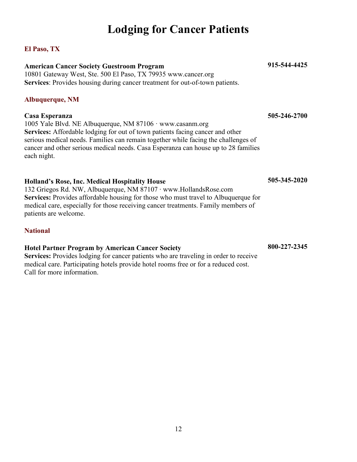### **Lodging for Cancer Patients**

#### <span id="page-15-1"></span><span id="page-15-0"></span>**El Paso, TX**

#### **American Cancer Society Guestroom Program**

10801 Gateway West, Ste. 500 El Paso, TX 79935 www.cancer.org **Services**: Provides housing during cancer treatment for out-of-town patients.

#### <span id="page-15-2"></span>**Albuquerque, NM**

#### **Casa Esperanza**

1005 Yale Blvd. NE Albuquerque, NM 87106 · www.casanm.org **Services:** Affordable lodging for out of town patients facing cancer and other serious medical needs. Families can remain together while facing the challenges of cancer and other serious medical needs. Casa Esperanza can house up to 28 families each night.

#### **Holland's Rose, Inc. Medical Hospitality House**

132 Griegos Rd. NW, Albuquerque, NM 87107 ∙ www.HollandsRose.com **Services:** Provides affordable housing for those who must travel to Albuquerque for medical care, especially for those receiving cancer treatments. Family members of patients are welcome.

#### <span id="page-15-3"></span>**National**

#### **Hotel Partner Program by American Cancer Society 800-227-2345**

**Services:** Provides lodging for cancer patients who are traveling in order to receive medical care. Participating hotels provide hotel rooms free or for a reduced cost. Call for more information.

#### **915-544-4425**

**505-246-2700**

**505-345-2020**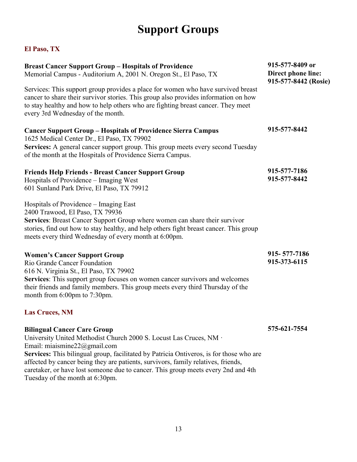# **Support Groups**

<span id="page-16-2"></span><span id="page-16-1"></span><span id="page-16-0"></span>

| <b>Breast Cancer Support Group - Hospitals of Providence</b><br>Memorial Campus - Auditorium A, 2001 N. Oregon St., El Paso, TX                                                                                                                                                                                                                                                                                                                      | 915-577-8409 or<br>Direct phone line:<br>915-577-8442 (Rosie) |
|------------------------------------------------------------------------------------------------------------------------------------------------------------------------------------------------------------------------------------------------------------------------------------------------------------------------------------------------------------------------------------------------------------------------------------------------------|---------------------------------------------------------------|
| Services: This support group provides a place for women who have survived breast<br>cancer to share their survivor stories. This group also provides information on how<br>to stay healthy and how to help others who are fighting breast cancer. They meet<br>every 3rd Wednesday of the month.                                                                                                                                                     |                                                               |
| <b>Cancer Support Group - Hospitals of Providence Sierra Campus</b><br>1625 Medical Center Dr., El Paso, TX 79902<br>Services: A general cancer support group. This group meets every second Tuesday<br>of the month at the Hospitals of Providence Sierra Campus.                                                                                                                                                                                   | 915-577-8442                                                  |
| <b>Friends Help Friends - Breast Cancer Support Group</b><br>Hospitals of Providence – Imaging West<br>601 Sunland Park Drive, El Paso, TX 79912                                                                                                                                                                                                                                                                                                     | 915-577-7186<br>915-577-8442                                  |
| Hospitals of Providence – Imaging East<br>2400 Trawood, El Paso, TX 79936<br>Services: Breast Cancer Support Group where women can share their survivor<br>stories, find out how to stay healthy, and help others fight breast cancer. This group<br>meets every third Wednesday of every month at 6:00pm.                                                                                                                                           |                                                               |
| <b>Women's Cancer Support Group</b><br>Rio Grande Cancer Foundation<br>616 N. Virginia St., El Paso, TX 79902<br>Services: This support group focuses on women cancer survivors and welcomes<br>their friends and family members. This group meets every third Thursday of the<br>month from 6:00pm to 7:30pm.                                                                                                                                       | 915-577-7186<br>915-373-6115                                  |
| <b>Las Cruces, NM</b>                                                                                                                                                                                                                                                                                                                                                                                                                                |                                                               |
| <b>Bilingual Cancer Care Group</b><br>University United Methodist Church 2000 S. Locust Las Cruces, NM ·<br>Email: miaismine $22@$ gmail.com<br>Services: This bilingual group, facilitated by Patricia Ontiveros, is for those who are<br>affected by cancer being they are patients, survivors, family relatives, friends,<br>caretaker, or have lost someone due to cancer. This group meets every 2nd and 4th<br>Tuesday of the month at 6:30pm. | 575-621-7554                                                  |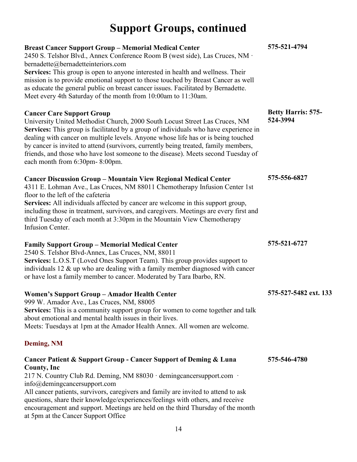# **Support Groups, continued**

<span id="page-17-0"></span>

| <b>Breast Cancer Support Group - Memorial Medical Center</b><br>2450 S. Telshor Blvd., Annex Conference Room B (west side), Las Cruces, NM ·<br>bernadette@bernadetteinteriors.com<br>Services: This group is open to anyone interested in health and wellness. Their<br>mission is to provide emotional support to those touched by Breast Cancer as well<br>as educate the general public on breast cancer issues. Facilitated by Bernadette.<br>Meet every 4th Saturday of the month from 10:00am to 11:30am. | 575-521-4794                          |
|------------------------------------------------------------------------------------------------------------------------------------------------------------------------------------------------------------------------------------------------------------------------------------------------------------------------------------------------------------------------------------------------------------------------------------------------------------------------------------------------------------------|---------------------------------------|
| <b>Cancer Care Support Group</b><br>University United Methodist Church, 2000 South Locust Street Las Cruces, NM<br>Services: This group is facilitated by a group of individuals who have experience in<br>dealing with cancer on multiple levels. Anyone whose life has or is being touched<br>by cancer is invited to attend (survivors, currently being treated, family members,<br>friends, and those who have lost someone to the disease). Meets second Tuesday of<br>each month from 6:30pm-8:00pm.       | <b>Betty Harris: 575-</b><br>524-3994 |
| <b>Cancer Discussion Group - Mountain View Regional Medical Center</b><br>4311 E. Lohman Ave., Las Cruces, NM 88011 Chemotherapy Infusion Center 1st<br>floor to the left of the cafeteria<br>Services: All individuals affected by cancer are welcome in this support group,<br>including those in treatment, survivors, and caregivers. Meetings are every first and<br>third Tuesday of each month at 3:30pm in the Mountain View Chemotherapy<br>Infusion Center.                                            | 575-556-6827                          |
| <b>Family Support Group – Memorial Medical Center</b><br>2540 S. Telshor Blvd-Annex, Las Cruces, NM, 88011<br>Services: L.O.S.T (Loved Ones Support Team). This group provides support to<br>individuals 12 & up who are dealing with a family member diagnosed with cancer<br>or have lost a family member to cancer. Moderated by Tara Ibarbo, RN.                                                                                                                                                             | 575-521-6727                          |
| Women's Support Group - Amador Health Center<br>999 W. Amador Ave., Las Cruces, NM, 88005<br>Services: This is a community support group for women to come together and talk<br>about emotional and mental health issues in their lives.<br>Meets: Tuesdays at 1pm at the Amador Health Annex. All women are welcome.                                                                                                                                                                                            | 575-527-5482 ext. 133                 |
| Deming, NM                                                                                                                                                                                                                                                                                                                                                                                                                                                                                                       |                                       |
| Cancer Patient & Support Group - Cancer Support of Deming & Luna<br>County, Inc<br>217 N. Country Club Rd. Deming, NM 88030 · demingcancersupport.com ·<br>$info@$ demingcancersupport.com<br>All cancer patients, survivors, caregivers and family are invited to attend to ask<br>questions, share their knowledge/experiences/feelings with others, and receive<br>encouragement and support. Meetings are held on the third Thursday of the month<br>at 5pm at the Cancer Support Office                     | 575-546-4780                          |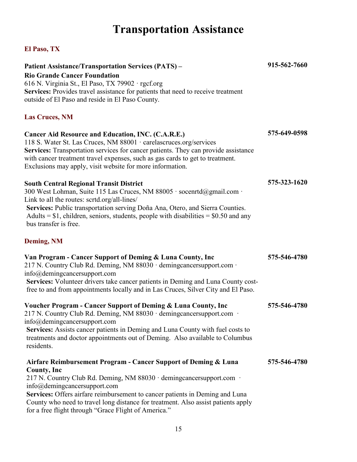# **Transportation Assistance**

<span id="page-18-3"></span><span id="page-18-2"></span><span id="page-18-1"></span><span id="page-18-0"></span>

| <b>Patient Assistance/Transportation Services (PATS) -</b><br><b>Rio Grande Cancer Foundation</b><br>616 N. Virginia St., El Paso, TX 79902 · rgcf.org<br>Services: Provides travel assistance for patients that need to receive treatment<br>outside of El Paso and reside in El Paso County.                                                                                                                                 | 915-562-7660 |
|--------------------------------------------------------------------------------------------------------------------------------------------------------------------------------------------------------------------------------------------------------------------------------------------------------------------------------------------------------------------------------------------------------------------------------|--------------|
| <b>Las Cruces, NM</b>                                                                                                                                                                                                                                                                                                                                                                                                          |              |
| <b>Cancer Aid Resource and Education, INC. (C.A.R.E.)</b><br>118 S. Water St. Las Cruces, NM 88001 · carelascruces.org/services<br>Services: Transportation services for cancer patients. They can provide assistance<br>with cancer treatment travel expenses, such as gas cards to get to treatment.<br>Exclusions may apply, visit website for more information.                                                            | 575-649-0598 |
| <b>South Central Regional Transit District</b><br>300 West Lohman, Suite 115 Las Cruces, NM 88005 · socenrtd@gmail.com ·<br>Link to all the routes: scrtd.org/all-lines/<br>Services: Public transportation serving Doña Ana, Otero, and Sierra Counties.<br>Adults = $$1$ , children, seniors, students, people with disabilities = $$0.50$ and any<br>bus transfer is free.                                                  | 575-323-1620 |
| <b>Deming, NM</b>                                                                                                                                                                                                                                                                                                                                                                                                              |              |
| Van Program - Cancer Support of Deming & Luna County, Inc<br>217 N. Country Club Rd. Deming, NM 88030 · demingcancersupport.com ·<br>$info@$ demingcancersupport.com<br>Services: Volunteer drivers take cancer patients in Deming and Luna County cost-<br>free to and from appointments locally and in Las Cruces, Silver City and El Paso.                                                                                  | 575-546-4780 |
| <b>Voucher Program - Cancer Support of Deming &amp; Luna County, Inc</b><br>217 N. Country Club Rd. Deming, NM 88030 · demingcancersupport.com ·<br>info@demingcancersupport.com<br><b>Services:</b> Assists cancer patients in Deming and Luna County with fuel costs to<br>treatments and doctor appointments out of Deming. Also available to Columbus<br>residents.                                                        | 575-546-4780 |
| Airfare Reimbursement Program - Cancer Support of Deming & Luna<br><b>County, Inc.</b><br>217 N. Country Club Rd. Deming, NM 88030 · demingcancersupport.com ·<br>$info@$ demingcancersupport.com<br>Services: Offers airfare reimbursement to cancer patients in Deming and Luna<br>County who need to travel long distance for treatment. Also assist patients apply<br>for a free flight through "Grace Flight of America." | 575-546-4780 |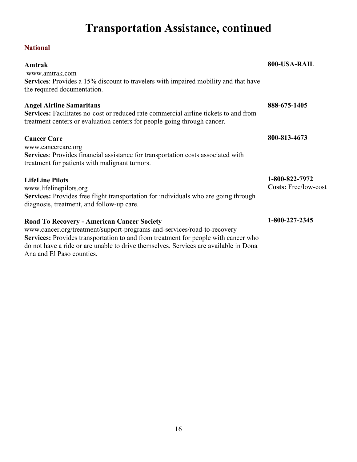# **Transportation Assistance, continued**

### <span id="page-19-0"></span>**National**

| Amtrak                                                                                                                                                                                                                                                                                                                                  | 800-USA-RAIL                                  |
|-----------------------------------------------------------------------------------------------------------------------------------------------------------------------------------------------------------------------------------------------------------------------------------------------------------------------------------------|-----------------------------------------------|
| www.amtrak.com<br>Services: Provides a 15% discount to travelers with impaired mobility and that have<br>the required documentation.                                                                                                                                                                                                    |                                               |
| <b>Angel Airline Samaritans</b><br><b>Services:</b> Facilitates no-cost or reduced rate commercial airline tickets to and from<br>treatment centers or evaluation centers for people going through cancer.                                                                                                                              | 888-675-1405                                  |
| <b>Cancer Care</b><br>www.cancercare.org<br>Services: Provides financial assistance for transportation costs associated with<br>treatment for patients with malignant tumors.                                                                                                                                                           | 800-813-4673                                  |
| <b>LifeLine Pilots</b><br>www.lifelinepilots.org<br>Services: Provides free flight transportation for individuals who are going through<br>diagnosis, treatment, and follow-up care.                                                                                                                                                    | 1-800-822-7972<br><b>Costs: Free/low-cost</b> |
| <b>Road To Recovery - American Cancer Society</b><br>www.cancer.org/treatment/support-programs-and-services/road-to-recovery<br>Services: Provides transportation to and from treatment for people with cancer who<br>do not have a ride or are unable to drive themselves. Services are available in Dona<br>Ana and El Paso counties. | 1-800-227-2345                                |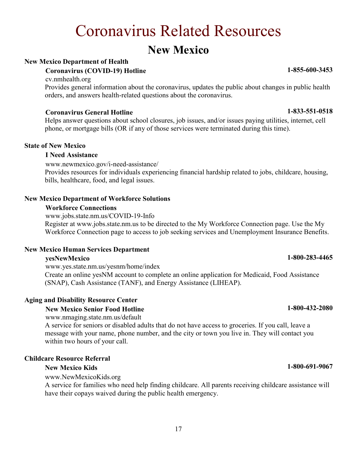# Coronavirus Related Resources

### **New Mexico**

#### <span id="page-20-1"></span><span id="page-20-0"></span>**New Mexico Department of Health**

#### **Coronavirus (COVID-19) Hotline**

cv.nmhealth.org

Provides general information about the coronavirus, updates the public about changes in public health orders, and answers health-related questions about the coronavirus.

#### **Coronavirus General Hotline 1-833-551-0518**

Helps answer questions about school closures, job issues, and/or issues paying utilities, internet, cell phone, or mortgage bills (OR if any of those services were terminated during this time).

#### **State of New Mexico**

#### **I Need Assistance**

www.newmexico.gov/i-need-assistance/

Provides resources for individuals experiencing financial hardship related to jobs, childcare, housing, bills, healthcare, food, and legal issues.

#### **New Mexico Department of Workforce Solutions**

#### **Workforce Connections**

www.jobs.state.nm.us/COVID-19-Info

Register at www.jobs.state.nm.us to be directed to the My Workforce Connection page. Use the My Workforce Connection page to access to job seeking services and Unemployment Insurance Benefits.

#### **New Mexico Human Services Department**

#### **yesNewMexico**

www.yes.state.nm.us/yesnm/home/index Create an online yesNM account to complete an online application for Medicaid, Food Assistance (SNAP), Cash Assistance (TANF), and Energy Assistance (LIHEAP).

#### **Aging and Disability Resource Center**

#### **New Mexico Senior Food Hotline**

www.nmaging.state.nm.us/default

A service for seniors or disabled adults that do not have access to groceries. If you call, leave a message with your name, phone number, and the city or town you live in. They will contact you within two hours of your call.

#### **Childcare Resource Referral**

#### **New Mexico Kids**

www.NewMexicoKids.org

A service for families who need help finding childcare. All parents receiving childcare assistance will have their copays waived during the public health emergency.

**1-855-600-3453**

### **1-800-283-4465**

**1-800-432-2080**

#### **1-800-691-9067**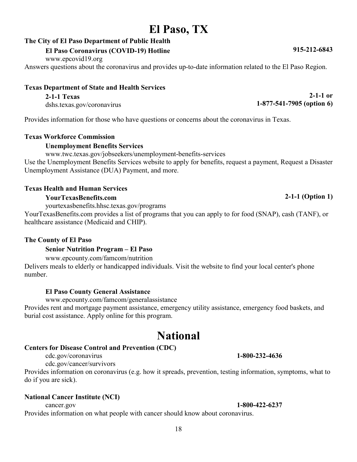### <span id="page-21-0"></span>**El Paso, TX**

#### **The City of El Paso Department of Public Health**

#### **El Paso Coronavirus (COVID-19) Hotline**

www.epcovid19.org

Answers questions about the coronavirus and provides up-to-date information related to the El Paso Region.

#### **Texas Department of State and Health Services**

**2-1-1 Texas** 

dshs.texas.gov/coronavirus

Provides information for those who have questions or concerns about the coronavirus in Texas.

#### **Texas Workforce Commission**

#### **Unemployment Benefits Services**

www.twc.texas.gov/jobseekers/unemployment-benefits-services

Use the Unemployment Benefits Services website to apply for benefits, request a payment, Request a Disaster Unemployment Assistance (DUA) Payment, and more.

#### **Texas Health and Human Services**

#### **YourTexasBenefits.com**

yourtexasbenefits.hhsc.texas.gov/programs

YourTexasBenefits.com provides a list of programs that you can apply to for food (SNAP), cash (TANF), or healthcare assistance (Medicaid and CHIP).

#### **The County of El Paso**

#### **Senior Nutrition Program – El Paso**

www.epcounty.com/famcom/nutrition

Delivers meals to elderly or handicapped individuals. Visit the website to find your local center's phone number.

#### **El Paso County General Assistance**

www.epcounty.com/famcom/generalassistance

Provides rent and mortgage payment assistance, emergency utility assistance, emergency food baskets, and burial cost assistance. Apply online for this program.

### **National**

#### <span id="page-21-1"></span>**Centers for Disease Control and Prevention (CDC)**

cdc.gov/coronavirus

cdc.gov/cancer/survivors

Provides information on coronavirus (e.g. how it spreads, prevention, testing information, symptoms, what to do if you are sick).

#### **National Cancer Institute (NCI)**

cancer.gov **1-800-422-6237**  Provides information on what people with cancer should know about coronavirus.

**915-212-6843**

**2-1-1 or** 

**1-877-541-7905 (option 6)**

#### **2-1-1 (Option 1)**

**1-800-232-4636**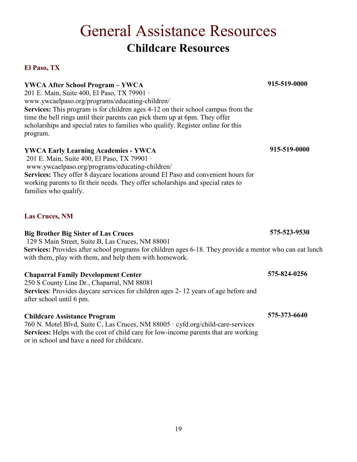#### 19

# General Assistance Resources **Childcare Resources**

#### <span id="page-22-2"></span><span id="page-22-1"></span><span id="page-22-0"></span>**El Paso, TX**

**YWCA After School Program – YWCA** 201 E. Main, Suite 400, El Paso, TX 79901 · www.ywcaelpaso.org/programs/educating-children/ **Services:** This program is for children ages 4-12 on their school campus from the time the bell rings until their parents can pick them up at 6pm. They offer scholarships and special rates to families who qualify. Register online for this program.

#### **YWCA Early Learning Academies - YWCA**

201 E. Main, Suite 400, El Paso, TX 79901 · www.ywcaelpaso.org/programs/educating-children/ **Services:** They offer 8 daycare locations around El Paso and convenient hours for working parents to fit their needs. They offer scholarships and special rates to families who qualify.

#### <span id="page-22-3"></span>**Las Cruces, NM**

#### **Big Brother Big Sister of Las Cruces**

129 S Main Street, Suite B, Las Cruces, NM 88001 Services: Provides after school programs for children ages 6-18. They provide a mentor who can eat lunch with them, play with them, and help them with homework.

#### **Chaparral Family Development Center**

250 S County Line Dr., Chaparral, NM 88081 **Services**: Provides daycare services for children ages 2- 12 years of age before and after school until 6 pm.

#### **Childcare Assistance Program**

760 N. Motel Blvd, Suite C, Las Cruces, NM 88005 · cyfd.org/child-care-services **Services:** Helps with the cost of child care for low-income parents that are working or in school and have a need for childcare.

**915-519-0000**

**915-519-0000**

**575-523-9530**

**575-824-0256**

**575-373-6640**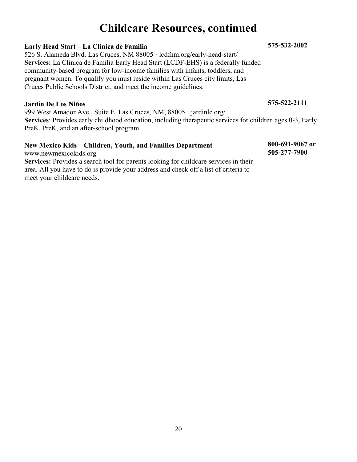### **Childcare Resources, continued**

#### **Early Head Start – La Clinica de Familia**

526 S. Alameda Blvd. Las Cruces, NM 88005 · lcdfnm.org/early-head-start/ **Services:** La Clinica de Familia Early Head Start (LCDF-EHS) is a federally funded community-based program for low-income families with infants, toddlers, and pregnant women. To qualify you must reside within Las Cruces city limits, Las Cruces Public Schools District, and meet the income guidelines.

#### **Jardín De Los Niños**

999 West Amador Ave., Suite E, Las Cruces, NM, 88005 · [jardinlc.org/](https://jardinlc.org/) **Services**: Provides early childhood education, including therapeutic services for children ages 0-3, Early PreK, PreK, and an after-school program.

#### **New Mexico Kids – Children, Youth, and Families Department**

www.newmexicokids.org Services: Provides a search tool for parents looking for childcare services in their area. All you have to do is provide your address and check off a list of criteria to meet your childcare needs.

#### **575-532-2002**

**575-522-2111**

**800-691-9067 or 505-277-7900**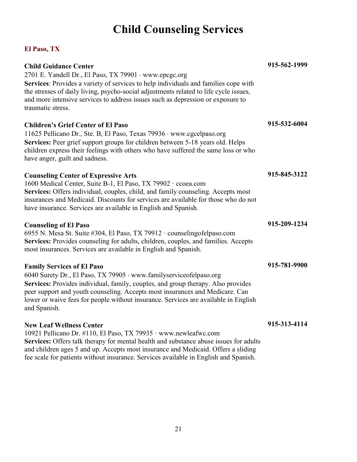# **Child Counseling Services**

#### <span id="page-24-1"></span><span id="page-24-0"></span>**El Paso, TX**

| <b>Child Guidance Center</b><br>2701 E. Yandell Dr., El Paso, TX 79901 · www.epcgc.org<br>Services: Provides a variety of services to help individuals and families cope with<br>the stresses of daily living, psycho-social adjustments related to life cycle issues,<br>and more intensive services to address issues such as depression or exposure to<br>traumatic stress.     | 915-562-1999 |
|------------------------------------------------------------------------------------------------------------------------------------------------------------------------------------------------------------------------------------------------------------------------------------------------------------------------------------------------------------------------------------|--------------|
| <b>Children's Grief Center of El Paso</b><br>11625 Pellicano Dr., Ste. B, El Paso, Texas 79936 · www.cgcelpaso.org<br>Services: Peer grief support groups for children between 5-18 years old. Helps<br>children express their feelings with others who have suffered the same loss or who<br>have anger, guilt and sadness.                                                       | 915-532-6004 |
| <b>Counseling Center of Expressive Arts</b><br>1600 Medical Center, Suite B-1, El Paso, TX 79902 · ccoea.com<br>Services: Offers individual, couples, child, and family counseling. Accepts most<br>insurances and Medicaid. Discounts for services are available for those who do not<br>have insurance. Services are available in English and Spanish.                           | 915-845-3122 |
| <b>Counseling of El Paso</b><br>6955 N. Mesa St. Suite #304, El Paso, TX 79912 · counselingofelpaso.com<br>Services: Provides counseling for adults, children, couples, and families. Accepts<br>most insurances. Services are available in English and Spanish.                                                                                                                   | 915-209-1234 |
| <b>Family Services of El Paso</b><br>6040 Surety Dr., El Paso, TX 79905 · www.familyserviceofelpaso.org<br>Services: Provides individual, family, couples, and group therapy. Also provides<br>peer support and youth counseling. Accepts most insurances and Medicare. Can<br>lower or waive fees for people without insurance. Services are available in English<br>and Spanish. | 915-781-9900 |
| <b>New Leaf Wellness Center</b><br>10921 Pellicano Dr. #110, El Paso, TX 79935 · www.newleafwc.com<br>Services: Offers talk therapy for mental health and substance abuse issues for adults<br>and children ages 5 and up. Accepts most insurance and Medicaid. Offers a sliding                                                                                                   | 915-313-4114 |

fee scale for patients without insurance. Services available in English and Spanish.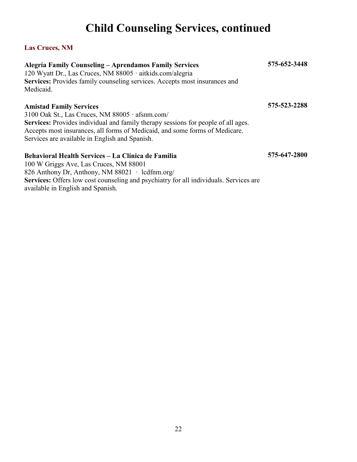# **Child Counseling Services, continued**

#### <span id="page-25-0"></span>**Las Cruces, NM**

| <b>Alegría Family Counseling - Aprendamos Family Services</b><br>120 Wyatt Dr., Las Cruces, NM 88005 · aitkids.com/alegria<br>Services: Provides family counseling services. Accepts most insurances and<br>Medicaid.                                 | 575-652-3448 |
|-------------------------------------------------------------------------------------------------------------------------------------------------------------------------------------------------------------------------------------------------------|--------------|
| <b>Amistad Family Services</b><br>3100 Oak St., Las Cruces, NM 88005 · afsnm.com/<br>Services: Provides individual and family therapy sessions for people of all ages.<br>Accepts most insurances, all forms of Medicaid, and some forms of Medicare. | 575-523-2288 |
| Services are available in English and Spanish.                                                                                                                                                                                                        |              |
| Behavioral Health Services – La Clínica de Familia<br>100 W Griggs Ave, Las Cruces, NM 88001                                                                                                                                                          | 575-647-2800 |
| 826 Anthony Dr, Anthony, NM 88021 $\cdot$ ledfnm.org/<br><b>Services:</b> Offers low cost counseling and psychiatry for all individuals. Services are                                                                                                 |              |
| available in English and Spanish.                                                                                                                                                                                                                     |              |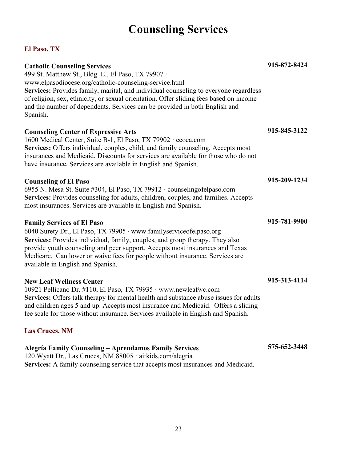## **Counseling Services**

#### <span id="page-26-1"></span><span id="page-26-0"></span>**El Paso, TX**

| <b>Catholic Counseling Services</b><br>499 St. Matthew St., Bldg. E., El Paso, TX 79907 ·<br>www.elpasodiocese.org/catholic-counseling-service.html<br>Services: Provides family, marital, and individual counseling to everyone regardless<br>of religion, sex, ethnicity, or sexual orientation. Offer sliding fees based on income<br>and the number of dependents. Services can be provided in both English and<br>Spanish. | 915-872-8424 |
|---------------------------------------------------------------------------------------------------------------------------------------------------------------------------------------------------------------------------------------------------------------------------------------------------------------------------------------------------------------------------------------------------------------------------------|--------------|
| <b>Counseling Center of Expressive Arts</b><br>1600 Medical Center, Suite B-1, El Paso, TX 79902 · ccoea.com<br>Services: Offers individual, couples, child, and family counseling. Accepts most<br>insurances and Medicaid. Discounts for services are available for those who do not<br>have insurance. Services are available in English and Spanish.                                                                        | 915-845-3122 |
| <b>Counseling of El Paso</b><br>6955 N. Mesa St. Suite #304, El Paso, TX 79912 · counseling of elpaso.com<br>Services: Provides counseling for adults, children, couples, and families. Accepts<br>most insurances. Services are available in English and Spanish.                                                                                                                                                              | 915-209-1234 |
| <b>Family Services of El Paso</b><br>6040 Surety Dr., El Paso, TX 79905 · www.familyserviceofelpaso.org<br>Services: Provides individual, family, couples, and group therapy. They also<br>provide youth counseling and peer support. Accepts most insurances and Texas<br>Medicare. Can lower or waive fees for people without insurance. Services are<br>available in English and Spanish.                                    | 915-781-9900 |
| <b>New Leaf Wellness Center</b><br>10921 Pellicano Dr. #110, El Paso, TX 79935 · www.newleafwc.com<br>Services: Offers talk therapy for mental health and substance abuse issues for adults<br>and children ages 5 and up. Accepts most insurance and Medicaid. Offers a sliding<br>fee scale for those without insurance. Services available in English and Spanish.                                                           | 915-313-4114 |
| <b>Las Cruces, NM</b>                                                                                                                                                                                                                                                                                                                                                                                                           |              |
| Alegría Family Counseling - Aprendamos Family Services                                                                                                                                                                                                                                                                                                                                                                          | 575-652-3448 |

<span id="page-26-2"></span>120 Wyatt Dr., Las Cruces, NM 88005 · aitkids.com/alegria

**Services:** A family counseling service that accepts most insurances and Medicaid.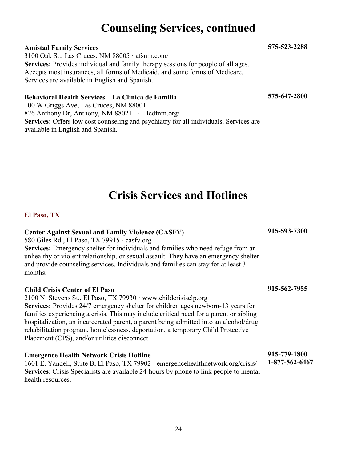### **Counseling Services, continued**

#### **Amistad Family Services**

3100 Oak St., Las Cruces, NM 88005 · afsnm.com/ **Services:** Provides individual and family therapy sessions for people of all ages. Accepts most insurances, all forms of Medicaid, and some forms of Medicare. Services are available in English and Spanish.

#### **Behavioral Health Services – La Clínica de Familia**

100 W Griggs Ave, Las Cruces, NM 88001 826 Anthony Dr, Anthony, NM 88021 · ledfinm.org/ **Services:** Offers low cost counseling and psychiatry for all individuals. Services are available in English and Spanish.

### **Crisis Services and Hotlines**

#### <span id="page-27-1"></span><span id="page-27-0"></span>**El Paso, TX**

#### **Center Against Sexual and Family Violence (CASFV)**

580 Giles Rd., El Paso, TX 79915 · casfv.org **Services:** Emergency shelter for individuals and families who need refuge from an unhealthy or violent relationship, or sexual assault. They have an emergency shelter and provide counseling services. Individuals and families can stay for at least 3 months.

#### **Child Crisis Center of El Paso**

2100 N. Stevens St., El Paso, TX 79930 · www.childcrisiselp.org **Services:** Provides 24/7 emergency shelter for children ages newborn-13 years for families experiencing a crisis. This may include critical need for a parent or sibling hospitalization, an incarcerated parent, a parent being admitted into an alcohol/drug rehabilitation program, homelessness, deportation, a temporary Child Protective Placement (CPS), and/or utilities disconnect.

#### **Emergence Health Network Crisis Hotline**

1601 E. Yandell, Suite B, El Paso, TX 79902 · emergencehealthnetwork.org/crisis/ **Services**: Crisis Specialists are available 24-hours by phone to link people to mental health resources.

**915-593-7300**

**915-562-7955**

**915-779-1800 1-877-562-6467**

**575-523-2288**

**575-647-2800**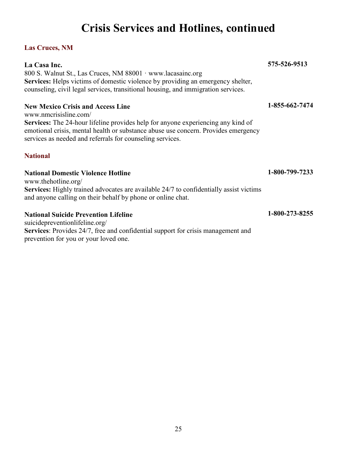# **Crisis Services and Hotlines, continued**

#### <span id="page-28-0"></span>**Las Cruces, NM**

| La Casa Inc.                                                                                                                                                                                                                               | 575-526-9513   |
|--------------------------------------------------------------------------------------------------------------------------------------------------------------------------------------------------------------------------------------------|----------------|
| 800 S. Walnut St., Las Cruces, NM 88001 · www.lacasainc.org                                                                                                                                                                                |                |
| <b>Services:</b> Helps victims of domestic violence by providing an emergency shelter,<br>counseling, civil legal services, transitional housing, and immigration services.                                                                |                |
| <b>New Mexico Crisis and Access Line</b><br>www.nmcrisisline.com/                                                                                                                                                                          | 1-855-662-7474 |
| <b>Services:</b> The 24-hour lifeline provides help for anyone experiencing any kind of<br>emotional crisis, mental health or substance abuse use concern. Provides emergency<br>services as needed and referrals for counseling services. |                |
| <b>National</b>                                                                                                                                                                                                                            |                |
| <b>National Domestic Violence Hotline</b><br>www.thehotline.org/                                                                                                                                                                           | 1-800-799-7233 |
| Services: Highly trained advocates are available 24/7 to confidentially assist victims<br>and anyone calling on their behalf by phone or online chat.                                                                                      |                |
| <b>National Suicide Prevention Lifeline</b>                                                                                                                                                                                                | 1-800-273-8255 |
| suicidepreventionlifeline.org/                                                                                                                                                                                                             |                |
| Services: Provides 24/7, free and confidential support for crisis management and                                                                                                                                                           |                |

<span id="page-28-1"></span>prevention for you or your loved one.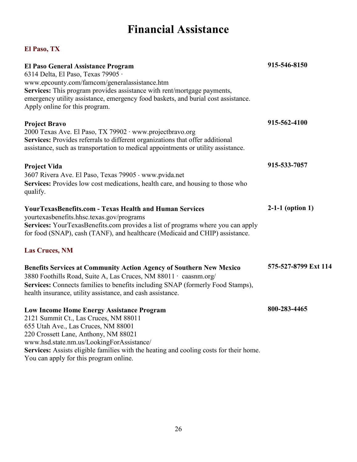## **Financial Assistance**

<span id="page-29-2"></span><span id="page-29-1"></span><span id="page-29-0"></span>

| <b>El Paso General Assistance Program</b><br>6314 Delta, El Paso, Texas 79905 ·<br>www.epcounty.com/famcom/generalassistance.htm<br>Services: This program provides assistance with rent/mortgage payments,<br>emergency utility assistance, emergency food baskets, and burial cost assistance.<br>Apply online for this program.                        | 915-546-8150         |
|-----------------------------------------------------------------------------------------------------------------------------------------------------------------------------------------------------------------------------------------------------------------------------------------------------------------------------------------------------------|----------------------|
| <b>Project Bravo</b><br>2000 Texas Ave. El Paso, TX 79902 · www.projectbravo.org                                                                                                                                                                                                                                                                          | 915-562-4100         |
| Services: Provides referrals to different organizations that offer additional<br>assistance, such as transportation to medical appointments or utility assistance.                                                                                                                                                                                        |                      |
| <b>Project Vida</b>                                                                                                                                                                                                                                                                                                                                       | 915-533-7057         |
| 3607 Rivera Ave. El Paso, Texas 79905 · www.pvida.net<br>Services: Provides low cost medications, health care, and housing to those who<br>qualify.                                                                                                                                                                                                       |                      |
| <b>YourTexasBenefits.com - Texas Health and Human Services</b><br>yourtexasbenefits.hhsc.texas.gov/programs<br>Services: YourTexasBenefits.com provides a list of programs where you can apply<br>for food (SNAP), cash (TANF), and healthcare (Medicaid and CHIP) assistance.                                                                            | $2-1-1$ (option 1)   |
| <b>Las Cruces, NM</b>                                                                                                                                                                                                                                                                                                                                     |                      |
| <b>Benefits Services at Community Action Agency of Southern New Mexico</b><br>3880 Foothills Road, Suite A, Las Cruces, NM 88011 · caasnm.org/<br>Services: Connects families to benefits including SNAP (formerly Food Stamps),<br>health insurance, utility assistance, and cash assistance.                                                            | 575-527-8799 Ext 114 |
| <b>Low Income Home Energy Assistance Program</b><br>2121 Summit Ct., Las Cruces, NM 88011<br>655 Utah Ave., Las Cruces, NM 88001<br>220 Crossett Lane, Anthony, NM 88021<br>www.hsd.state.nm.us/LookingForAssistance/<br>Services: Assists eligible families with the heating and cooling costs for their home.<br>You can apply for this program online. | 800-283-4465         |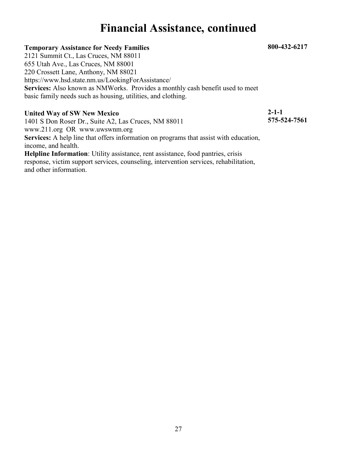### **Financial Assistance, continued**

#### **Temporary Assistance for Needy Families**

2121 Summit Ct., Las Cruces, NM 88011 655 Utah Ave., Las Cruces, NM 88001 220 Crossett Lane, Anthony, NM 88021 https://www.hsd.state.nm.us/LookingForAssistance/ **Services:** Also known as NMWorks. Provides a monthly cash benefit used to meet basic family needs such as housing, utilities, and clothing.

#### **United Way of SW New Mexico**

1401 S Don Roser Dr., Suite A2, Las Cruces, NM 88011 www.211.org OR www.uwswnm.org **Services:** A help line that offers information on programs that assist with education, income, and health. **Helpline Information**: Utility assistance, rent assistance, food pantries, crisis response, victim support services, counseling, intervention services, rehabilitation, and other information.

**2-1-1 575-524-7561**

**800-432-6217**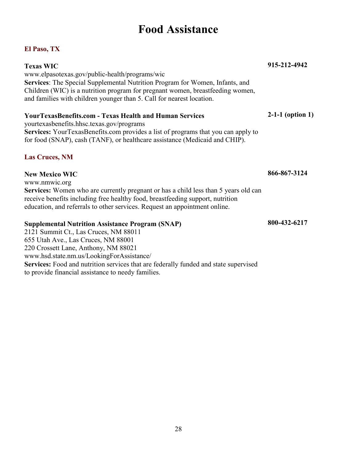### **Food Assistance**

#### <span id="page-31-1"></span><span id="page-31-0"></span>**El Paso, TX**

| <b>Texas WIC</b>                                                                                                                                                        | 915-212-4942       |
|-------------------------------------------------------------------------------------------------------------------------------------------------------------------------|--------------------|
| www.elpasotexas.gov/public-health/programs/wic                                                                                                                          |                    |
| <b>Services:</b> The Special Supplemental Nutrition Program for Women, Infants, and                                                                                     |                    |
| Children (WIC) is a nutrition program for pregnant women, breastfeeding women,<br>and families with children younger than 5. Call for nearest location.                 |                    |
|                                                                                                                                                                         |                    |
| <b>YourTexasBenefits.com - Texas Health and Human Services</b>                                                                                                          | $2-1-1$ (option 1) |
| yourtexasbenefits.hhsc.texas.gov/programs                                                                                                                               |                    |
| <b>Services:</b> YourTexasBenefits.com provides a list of programs that you can apply to<br>for food (SNAP), cash (TANF), or healthcare assistance (Medicaid and CHIP). |                    |
|                                                                                                                                                                         |                    |
| <b>Las Cruces, NM</b>                                                                                                                                                   |                    |
| <b>New Mexico WIC</b>                                                                                                                                                   | 866-867-3124       |
| www.nmwic.org                                                                                                                                                           |                    |
| <b>Services:</b> Women who are currently pregnant or has a child less than 5 years old can                                                                              |                    |
| receive benefits including free healthy food, breastfeeding support, nutrition                                                                                          |                    |
| education, and referrals to other services. Request an appointment online.                                                                                              |                    |
| <b>Supplemental Nutrition Assistance Program (SNAP)</b>                                                                                                                 | 800-432-6217       |
| 2121 Summit Ct., Las Cruces, NM 88011                                                                                                                                   |                    |
| $655$ Utah $\Delta y_0$ , Les Crusse, NIM 88001                                                                                                                         |                    |

<span id="page-31-2"></span>655 Utah Ave., Las Cruces, NM 88001 220 Crossett Lane, Anthony, NM 88021 www.hsd.state.nm.us/LookingForAssistance/ **Services:** Food and nutrition services that are federally funded and state supervised to provide financial assistance to needy families.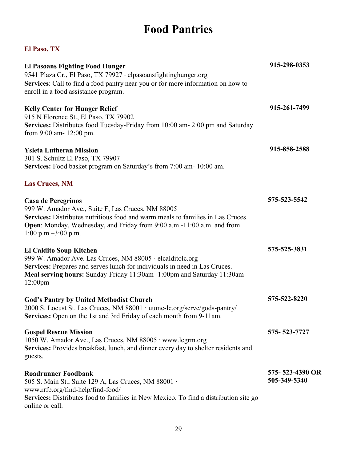# **Food Pantries**

<span id="page-32-2"></span><span id="page-32-1"></span><span id="page-32-0"></span>

| <b>El Pasoans Fighting Food Hunger</b>                                                                                                             | 915-298-0353    |
|----------------------------------------------------------------------------------------------------------------------------------------------------|-----------------|
| 9541 Plaza Cr., El Paso, TX 79927 · elpasoansfightinghunger.org<br>Services: Call to find a food pantry near you or for more information on how to |                 |
| enroll in a food assistance program.                                                                                                               |                 |
| <b>Kelly Center for Hunger Relief</b>                                                                                                              | 915-261-7499    |
| 915 N Florence St., El Paso, TX 79902                                                                                                              |                 |
| Services: Distributes food Tuesday-Friday from 10:00 am- 2:00 pm and Saturday<br>from 9:00 am- 12:00 pm.                                           |                 |
| <b>Ysleta Lutheran Mission</b>                                                                                                                     | 915-858-2588    |
| 301 S. Schultz El Paso, TX 79907                                                                                                                   |                 |
| Services: Food basket program on Saturday's from 7:00 am- 10:00 am.                                                                                |                 |
| <b>Las Cruces, NM</b>                                                                                                                              |                 |
| <b>Casa de Peregrinos</b>                                                                                                                          | 575-523-5542    |
| 999 W. Amador Ave., Suite F, Las Cruces, NM 88005                                                                                                  |                 |
| Services: Distributes nutritious food and warm meals to families in Las Cruces.                                                                    |                 |
| Open: Monday, Wednesday, and Friday from 9:00 a.m.-11:00 a.m. and from                                                                             |                 |
| 1:00 p.m. $-3:00$ p.m.                                                                                                                             |                 |
| <b>El Caldito Soup Kitchen</b>                                                                                                                     | 575-525-3831    |
| 999 W. Amador Ave. Las Cruces, NM 88005 · elcalditolc.org                                                                                          |                 |
| Services: Prepares and serves lunch for individuals in need in Las Cruces.                                                                         |                 |
| Meal serving hours: Sunday-Friday 11:30am -1:00pm and Saturday 11:30am-                                                                            |                 |
| 12:00 <sub>pm</sub>                                                                                                                                |                 |
| <b>God's Pantry by United Methodist Church</b>                                                                                                     | 575-522-8220    |
| 2000 S. Locust St. Las Cruces, NM 88001 · uumc-lc.org/serve/gods-pantry/                                                                           |                 |
| Services: Open on the 1st and 3rd Friday of each month from 9-11am.                                                                                |                 |
| <b>Gospel Rescue Mission</b>                                                                                                                       | 575-523-7727    |
| 1050 W. Amador Ave., Las Cruces, NM 88005 · www.lcgrm.org                                                                                          |                 |
| Services: Provides breakfast, lunch, and dinner every day to shelter residents and                                                                 |                 |
| guests.                                                                                                                                            |                 |
| <b>Roadrunner Foodbank</b>                                                                                                                         | 575-523-4390 OR |
| 505 S. Main St., Suite 129 A, Las Cruces, NM 88001 ·                                                                                               | 505-349-5340    |
| www.rrfb.org/find-help/find-food/                                                                                                                  |                 |
| Services: Distributes food to families in New Mexico. To find a distribution site go                                                               |                 |
| online or call.                                                                                                                                    |                 |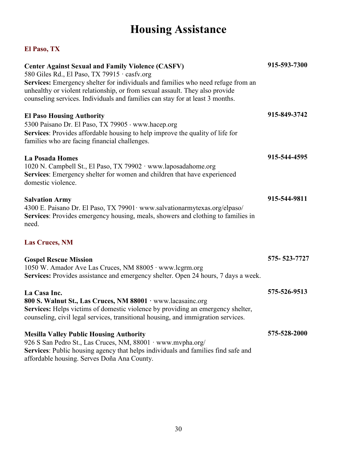# **Housing Assistance**

<span id="page-33-1"></span><span id="page-33-0"></span>

| <b>Center Against Sexual and Family Violence (CASFV)</b><br>580 Giles Rd., El Paso, TX 79915 · casfv.org<br>Services: Emergency shelter for individuals and families who need refuge from an<br>unhealthy or violent relationship, or from sexual assault. They also provide<br>counseling services. Individuals and families can stay for at least 3 months. | 915-593-7300 |
|---------------------------------------------------------------------------------------------------------------------------------------------------------------------------------------------------------------------------------------------------------------------------------------------------------------------------------------------------------------|--------------|
| <b>El Paso Housing Authority</b><br>5300 Paisano Dr. El Paso, TX 79905 · www.hacep.org<br>Services: Provides affordable housing to help improve the quality of life for<br>families who are facing financial challenges.                                                                                                                                      | 915-849-3742 |
| <b>La Posada Homes</b><br>1020 N. Campbell St., El Paso, TX 79902 · www.laposadahome.org<br>Services: Emergency shelter for women and children that have experienced<br>domestic violence.                                                                                                                                                                    | 915-544-4595 |
| <b>Salvation Army</b><br>4300 E. Paisano Dr. El Paso, TX 79901· www.salvationarmytexas.org/elpaso/<br>Services: Provides emergency housing, meals, showers and clothing to families in<br>need.                                                                                                                                                               | 915-544-9811 |
| <b>Las Cruces, NM</b>                                                                                                                                                                                                                                                                                                                                         |              |
| <b>Gospel Rescue Mission</b><br>1050 W. Amador Ave Las Cruces, NM 88005 · www.lcgrm.org<br>Services: Provides assistance and emergency shelter. Open 24 hours, 7 days a week.                                                                                                                                                                                 | 575-523-7727 |
| La Casa Inc.<br>800 S. Walnut St., Las Cruces, NM 88001 · www.lacasainc.org<br>Services: Helps victims of domestic violence by providing an emergency shelter,<br>counseling, civil legal services, transitional housing, and immigration services.                                                                                                           | 575-526-9513 |
| <b>Mesilla Valley Public Housing Authority</b><br>926 S San Pedro St., Las Cruces, NM, 88001 · www.mvpha.org/<br>Services: Public housing agency that helps individuals and families find safe and<br>affordable housing. Serves Doña Ana County.                                                                                                             | 575-528-2000 |

<span id="page-33-2"></span>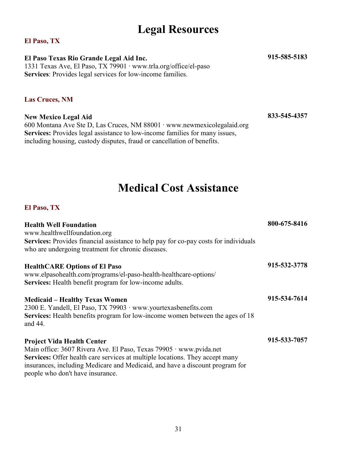### **Legal Resources**

#### <span id="page-34-1"></span><span id="page-34-0"></span>**El Paso, TX**

**El Paso Texas Rio Grande Legal Aid Inc.** 1331 Texas Ave, El Paso, TX 79901 ∙ www.trla.org/office/el-paso **Services**: Provides legal services for low-income families.

#### <span id="page-34-2"></span>**Las Cruces, NM**

**New Mexico Legal Aid** 600 Montana Ave Ste D, Las Cruces, NM 88001 ∙ www.newmexicolegalaid.org **Services:** Provides legal assistance to low-income families for many issues, including housing, custody disputes, fraud or cancellation of benefits.

**833-545-4357**

**915-585-5183**

### **Medical Cost Assistance**

<span id="page-34-4"></span><span id="page-34-3"></span>

| <b>Health Well Foundation</b><br>www.healthwellfoundation.org                                                                                                                                                                                                                                                      | 800-675-8416 |
|--------------------------------------------------------------------------------------------------------------------------------------------------------------------------------------------------------------------------------------------------------------------------------------------------------------------|--------------|
| <b>Services:</b> Provides financial assistance to help pay for co-pay costs for individuals<br>who are undergoing treatment for chronic diseases.                                                                                                                                                                  |              |
| <b>HealthCARE Options of El Paso</b><br>www.elpasohealth.com/programs/el-paso-health-healthcare-options/<br>Services: Health benefit program for low-income adults.                                                                                                                                                | 915-532-3778 |
| <b>Medicaid – Healthy Texas Women</b><br>2300 E. Yandell, El Paso, TX 79903 · www.yourtexasbenefits.com<br>Services: Health benefits program for low-income women between the ages of 18<br>and 44.                                                                                                                | 915-534-7614 |
| <b>Project Vida Health Center</b><br>Main office: 3607 Rivera Ave. El Paso, Texas 79905 · www.pvida.net<br><b>Services:</b> Offer health care services at multiple locations. They accept many<br>insurances, including Medicare and Medicaid, and have a discount program for<br>people who don't have insurance. | 915-533-7057 |